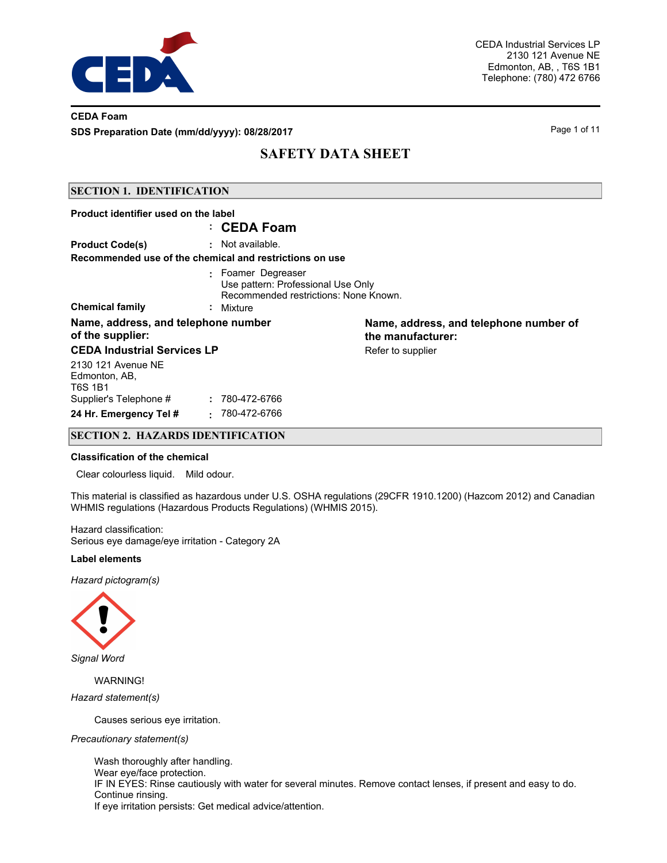

## **CEDA Foam SDS Preparation Date (mm/dd/yyyy): 08/28/2017** Page 1 of 11

# **SAFETY DATA SHEET**

### **SECTION 1. IDENTIFICATION**

| Product identifier used on the label                                                                                                     | : CEDA Foam                                                                 |                                                             |  |  |
|------------------------------------------------------------------------------------------------------------------------------------------|-----------------------------------------------------------------------------|-------------------------------------------------------------|--|--|
| <b>Product Code(s)</b>                                                                                                                   | : Not available.<br>Recommended use of the chemical and restrictions on use |                                                             |  |  |
| : Foamer Degreaser<br>Use pattern: Professional Use Only<br>Recommended restrictions: None Known.<br><b>Chemical family</b><br>: Mixture |                                                                             |                                                             |  |  |
| Name, address, and telephone number<br>of the supplier:                                                                                  |                                                                             | Name, address, and telephone number of<br>the manufacturer: |  |  |
| <b>CEDA Industrial Services LP</b>                                                                                                       |                                                                             | Refer to supplier                                           |  |  |
| 2130 121 Avenue NE<br>Edmonton, AB,<br>T6S 1B1                                                                                           |                                                                             |                                                             |  |  |
| Supplier's Telephone #                                                                                                                   | 780-472-6766                                                                |                                                             |  |  |
| 24 Hr. Emergency Tel #                                                                                                                   | 780-472-6766<br>$\sim$                                                      |                                                             |  |  |

## **SECTION 2. HAZARDS IDENTIFICATION**

#### **Classification of the chemical**

Clear colourless liquid. Mild odour.

This material is classified as hazardous under U.S. OSHA regulations (29CFR 1910.1200) (Hazcom 2012) and Canadian WHMIS regulations (Hazardous Products Regulations) (WHMIS 2015).

Hazard classification: Serious eye damage/eye irritation - Category 2A

#### **Label elements**

*Hazard pictogram(s)*



*Signal Word*

WARNING!

*Hazard statement(s)*

Causes serious eye irritation.

*Precautionary statement(s)*

Wash thoroughly after handling. Wear eye/face protection. IF IN EYES: Rinse cautiously with water for several minutes. Remove contact lenses, if present and easy to do. Continue rinsing. If eye irritation persists: Get medical advice/attention.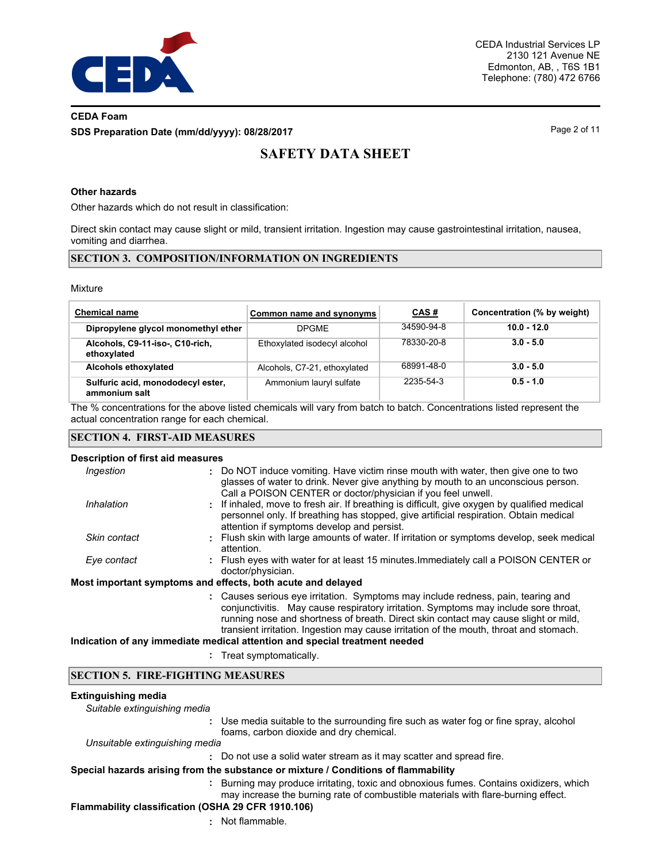

# **CEDA Foam SDS Preparation Date (mm/dd/yyyy): 08/28/2017** Page 2 of 11

# **SAFETY DATA SHEET**

### **Other hazards**

Other hazards which do not result in classification:

Direct skin contact may cause slight or mild, transient irritation. Ingestion may cause gastrointestinal irritation, nausea, vomiting and diarrhea.

### **SECTION 3. COMPOSITION/INFORMATION ON INGREDIENTS**

#### Mixture

| <b>Chemical name</b>                               | Common name and synonyms     | CAS#       | Concentration (% by weight) |
|----------------------------------------------------|------------------------------|------------|-----------------------------|
| Dipropylene glycol monomethyl ether                | <b>DPGME</b>                 | 34590-94-8 | $10.0 - 12.0$               |
| Alcohols, C9-11-iso-, C10-rich,<br>ethoxylated     | Ethoxylated isodecyl alcohol | 78330-20-8 | $3.0 - 5.0$                 |
| Alcohols ethoxylated                               | Alcohols, C7-21, ethoxylated | 68991-48-0 | $3.0 - 5.0$                 |
| Sulfuric acid, monododecyl ester,<br>ammonium salt | Ammonium lauryl sulfate      | 2235-54-3  | $0.5 - 1.0$                 |

The % concentrations for the above listed chemicals will vary from batch to batch. Concentrations listed represent the actual concentration range for each chemical.

#### **SECTION 4. FIRST-AID MEASURES**

#### **Description of first aid measures**

| Ingestion    | : Do NOT induce vomiting. Have victim rinse mouth with water, then give one to two                                                                                                                                                                                                                                                                       |
|--------------|----------------------------------------------------------------------------------------------------------------------------------------------------------------------------------------------------------------------------------------------------------------------------------------------------------------------------------------------------------|
|              | glasses of water to drink. Never give anything by mouth to an unconscious person.<br>Call a POISON CENTER or doctor/physician if you feel unwell.                                                                                                                                                                                                        |
| Inhalation   | : If inhaled, move to fresh air. If breathing is difficult, give oxygen by qualified medical<br>personnel only. If breathing has stopped, give artificial respiration. Obtain medical<br>attention if symptoms develop and persist.                                                                                                                      |
| Skin contact | : Flush skin with large amounts of water. If irritation or symptoms develop, seek medical<br>attention.                                                                                                                                                                                                                                                  |
| Eye contact  | : Flush eyes with water for at least 15 minutes. Immediately call a POISON CENTER or<br>doctor/physician.                                                                                                                                                                                                                                                |
|              | Most important symptoms and effects, both acute and delayed                                                                                                                                                                                                                                                                                              |
|              | : Causes serious eve irritation. Symptoms may include redness, pain, tearing and<br>conjunctivitis. May cause respiratory irritation. Symptoms may include sore throat,<br>running nose and shortness of breath. Direct skin contact may cause slight or mild.<br>transient irritation. Ingestion may cause irritation of the mouth, throat and stomach. |
|              | Indication of any immediate medical attention and special treatment needed                                                                                                                                                                                                                                                                               |

**:** Treat symptomatically.

#### **SECTION 5. FIRE-FIGHTING MEASURES**

#### **Extinguishing media**

*Suitable extinguishing media*

**:** Use media suitable to the surrounding fire such as water fog or fine spray, alcohol foams, carbon dioxide and dry chemical.

*Unsuitable extinguishing media*

**:** Do not use a solid water stream as it may scatter and spread fire.

## **Special hazards arising from the substance or mixture / Conditions of flammability**

**:** Burning may produce irritating, toxic and obnoxious fumes. Contains oxidizers, which may increase the burning rate of combustible materials with flare-burning effect.

## **Flammability classification (OSHA 29 CFR 1910.106)**

**:** Not flammable.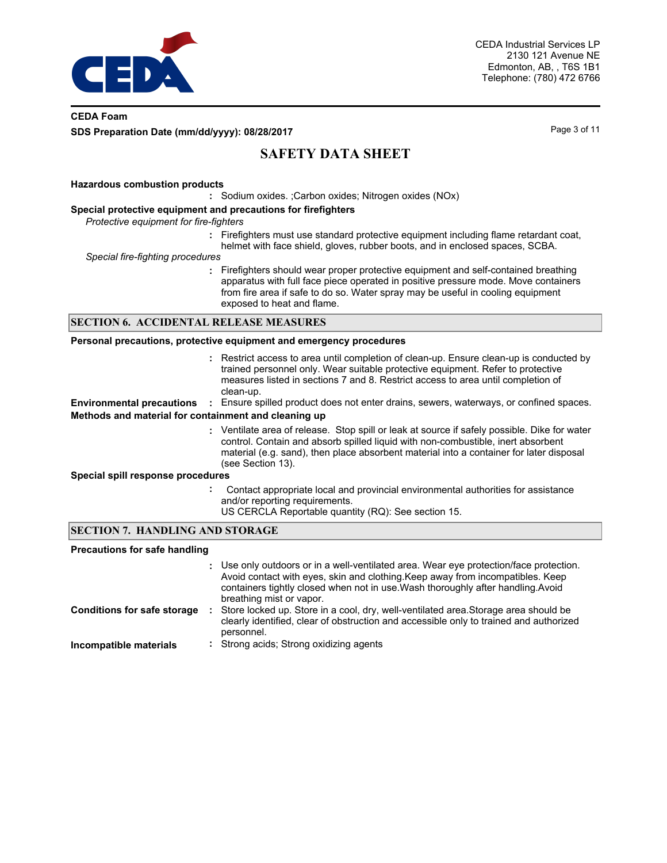

## **CEDA Foam SDS Preparation Date (mm/dd/yyyy): 08/28/2017** Page 3 of 11

# **SAFETY DATA SHEET**

#### **Hazardous combustion products**

**:** Sodium oxides. ;Carbon oxides; Nitrogen oxides (NOx)

#### **Special protective equipment and precautions for firefighters**

*Protective equipment for fire-fighters*

**:** Firefighters must use standard protective equipment including flame retardant coat, helmet with face shield, gloves, rubber boots, and in enclosed spaces, SCBA.

*Special fire-fighting procedures*

**:** Firefighters should wear proper protective equipment and self-contained breathing apparatus with full face piece operated in positive pressure mode. Move containers from fire area if safe to do so. Water spray may be useful in cooling equipment exposed to heat and flame.

#### **SECTION 6. ACCIDENTAL RELEASE MEASURES**

#### **Personal precautions, protective equipment and emergency procedures**

(see Section 13).

Restrict access to area until completion of clean-up. Ensure clean-up is conducted by **:** trained personnel only. Wear suitable protective equipment. Refer to protective measures listed in sections 7 and 8. Restrict access to area until completion of clean-up. **Environmental precautions :** Ensure spilled product does not enter drains, sewers, waterways, or confined spaces. Ventilate area of release. Stop spill or leak at source if safely possible. Dike for water **:** control. Contain and absorb spilled liquid with non-combustible, inert absorbent material (e.g. sand), then place absorbent material into a container for later disposal **Methods and material for containment and cleaning up**

#### **Special spill response procedures**

- **:** Contact appropriate local and provincial environmental authorities for assistance and/or reporting requirements.
	- US CERCLA Reportable quantity (RQ): See section 15.

### **SECTION 7. HANDLING AND STORAGE**

#### **Precautions for safe handling**

|                                    | : Use only outdoors or in a well-ventilated area. Wear eye protection/face protection.<br>Avoid contact with eyes, skin and clothing. Keep away from incompatibles. Keep<br>containers tightly closed when not in use. Wash thoroughly after handling. Avoid<br>breathing mist or vapor. |
|------------------------------------|------------------------------------------------------------------------------------------------------------------------------------------------------------------------------------------------------------------------------------------------------------------------------------------|
| <b>Conditions for safe storage</b> | Store locked up. Store in a cool, dry, well-ventilated area. Storage area should be<br>clearly identified, clear of obstruction and accessible only to trained and authorized<br>personnel.                                                                                              |
| Incompatible materials             | : Strong acids: Strong oxidizing agents                                                                                                                                                                                                                                                  |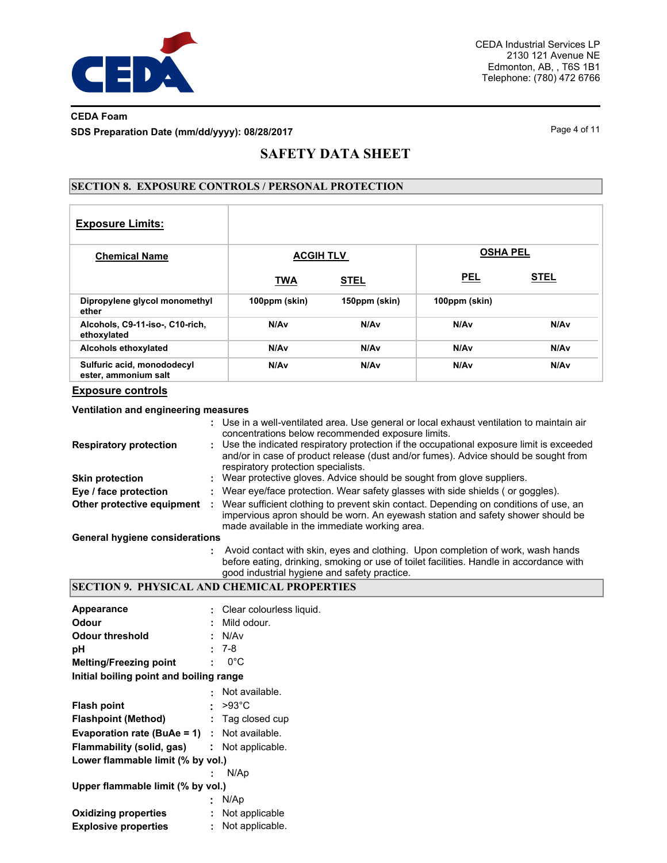

# **CEDA Foam SDS Preparation Date (mm/dd/yyyy): 08/28/2017** Page 4 of 11

# **SAFETY DATA SHEET**

## **SECTION 8. EXPOSURE CONTROLS / PERSONAL PROTECTION**

| <b>Exposure Limits:</b>                            |                  |                  |                  |                  |
|----------------------------------------------------|------------------|------------------|------------------|------------------|
| <b>Chemical Name</b>                               | <b>ACGIH TLV</b> |                  | <b>OSHA PEL</b>  |                  |
|                                                    | <b>TWA</b>       | <b>STEL</b>      | <b>PEL</b>       | <b>STEL</b>      |
| Dipropylene glycol monomethyl<br>ether             | 100ppm (skin)    | 150ppm (skin)    | 100ppm (skin)    |                  |
| Alcohols, C9-11-iso-, C10-rich,<br>ethoxylated     | N/Av             | N/A <sub>v</sub> | N/Av             | N/A <sub>v</sub> |
| Alcohols ethoxylated                               | N/Av             | N/A <sub>v</sub> | N/Av             | N/A <sub>v</sub> |
| Sulfuric acid, monododecyl<br>ester, ammonium salt | N/Av             | N/A <sub>v</sub> | N/A <sub>v</sub> | N/A <sub>v</sub> |

#### **Exposure controls**

### **Ventilation and engineering measures**

|                                       | : Use in a well-ventilated area. Use general or local exhaust ventilation to maintain air<br>concentrations below recommended exposure limits.                                                                           |
|---------------------------------------|--------------------------------------------------------------------------------------------------------------------------------------------------------------------------------------------------------------------------|
| <b>Respiratory protection</b>         | : Use the indicated respiratory protection if the occupational exposure limit is exceeded<br>and/or in case of product release (dust and/or fumes). Advice should be sought from<br>respiratory protection specialists.  |
| <b>Skin protection</b>                | Wear protective gloves. Advice should be sought from glove suppliers.                                                                                                                                                    |
| Eye / face protection                 | Wear eye/face protection. Wear safety glasses with side shields (or goggles).                                                                                                                                            |
| Other protective equipment            | Wear sufficient clothing to prevent skin contact. Depending on conditions of use, an<br>impervious apron should be worn. An eyewash station and safety shower should be<br>made available in the immediate working area. |
| <b>General hygiene considerations</b> |                                                                                                                                                                                                                          |
|                                       | Avoid contact with skin, eyes and clothing. Upon completion of work, wash hands                                                                                                                                          |

before eating, drinking, smoking or use of toilet facilities. Handle in accordance with good industrial hygiene and safety practice.

# **SECTION 9. PHYSICAL AND CHEMICAL PROPERTIES**

| Appearance                                          | : Clear colourless liquid. |
|-----------------------------------------------------|----------------------------|
| Odour                                               | Mild odour.                |
| <b>Odour threshold</b>                              | : N/Av                     |
| рH                                                  | $: 7-8$                    |
| <b>Melting/Freezing point</b>                       | $0^{\circ}$ C              |
| Initial boiling point and boiling range             |                            |
|                                                     | : Not available.           |
| <b>Flash point</b>                                  | $: >93^{\circ}$ C          |
| <b>Flashpoint (Method)</b>                          | $:$ Tag closed cup         |
| <b>Evaporation rate (BuAe = 1)</b> : Not available. |                            |
| Flammability (solid, gas)                           | : Not applicable.          |
| Lower flammable limit (% by vol.)                   |                            |
|                                                     | N/Ap                       |
| Upper flammable limit (% by vol.)                   |                            |
|                                                     | : N/Ap                     |
| <b>Oxidizing properties</b>                         | : Not applicable           |
| <b>Explosive properties</b>                         | : Not applicable.          |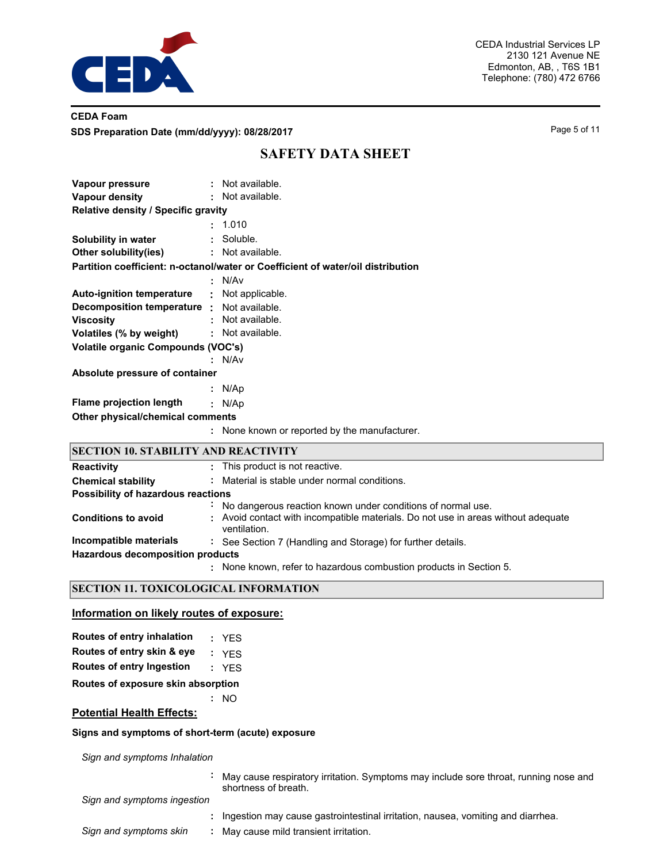

## **CEDA Foam SDS Preparation Date (mm/dd/yyyy): 08/28/2017** Page 5 of 11

# **SAFETY DATA SHEET**

| Vapour pressure                                   |    | : Not available.                                                                  |
|---------------------------------------------------|----|-----------------------------------------------------------------------------------|
| Vapour density                                    |    | : Not available.                                                                  |
| Relative density / Specific gravity               |    |                                                                                   |
|                                                   |    | : 1.010                                                                           |
| Solubility in water                               |    | : Soluble.                                                                        |
| Other solubility(ies)                             |    | : Not available.                                                                  |
|                                                   |    | Partition coefficient: n-octanol/water or Coefficient of water/oil distribution   |
|                                                   |    | : N/Av                                                                            |
| <b>Auto-ignition temperature</b>                  |    | Not applicable.                                                                   |
| <b>Decomposition temperature :</b> Not available. |    |                                                                                   |
| <b>Viscosity</b>                                  |    | : Not available.                                                                  |
| Volatiles (% by weight)                           | ÷. | Not available.                                                                    |
| <b>Volatile organic Compounds (VOC's)</b>         |    |                                                                                   |
|                                                   |    | : N/Av                                                                            |
| Absolute pressure of container                    |    |                                                                                   |
|                                                   |    | : N/Ap                                                                            |
| <b>Flame projection length</b>                    |    | : N/Ap                                                                            |
| Other physical/chemical comments                  |    |                                                                                   |
|                                                   |    | : None known or reported by the manufacturer.                                     |
| <b>SECTION 10. STABILITY AND REACTIVITY</b>       |    |                                                                                   |
| <b>Reactivity</b>                                 |    | : This product is not reactive.                                                   |
| <b>Chemical stability</b>                         |    | : Material is stable under normal conditions.                                     |
| Possibility of hazardous reactions                |    |                                                                                   |
|                                                   |    | No dangerous reaction known under conditions of normal use.                       |
| <b>Conditions to avoid</b>                        |    | : Avoid contact with incompatible materials. Do not use in areas without adequate |

- 
- ventilation. **Incompatible materials :** See Section 7 (Handling and Storage) for further details.

**Hazardous decomposition products**

None known, refer to hazardous combustion products in Section 5. **:**

## **SECTION 11. TOXICOLOGICAL INFORMATION**

#### **Information on likely routes of exposure:**

| Routes of entry inhalation | : YES |
|----------------------------|-------|
| Routes of entry skin & eye | : YES |

|  | <b>Routes of entry Ingestion</b> | YES |
|--|----------------------------------|-----|
|  |                                  |     |

**Routes of exposure skin absorption**

#### **:** NO

## **Potential Health Effects:**

#### **Signs and symptoms of short-term (acute) exposure**

*Sign and symptoms Inhalation*

**:** May cause respiratory irritation. Symptoms may include sore throat, running nose and shortness of breath.

*Sign and symptoms ingestion*

- **:** Ingestion may cause gastrointestinal irritation, nausea, vomiting and diarrhea.
- *Sign and symptoms skin* **:** May cause mild transient irritation.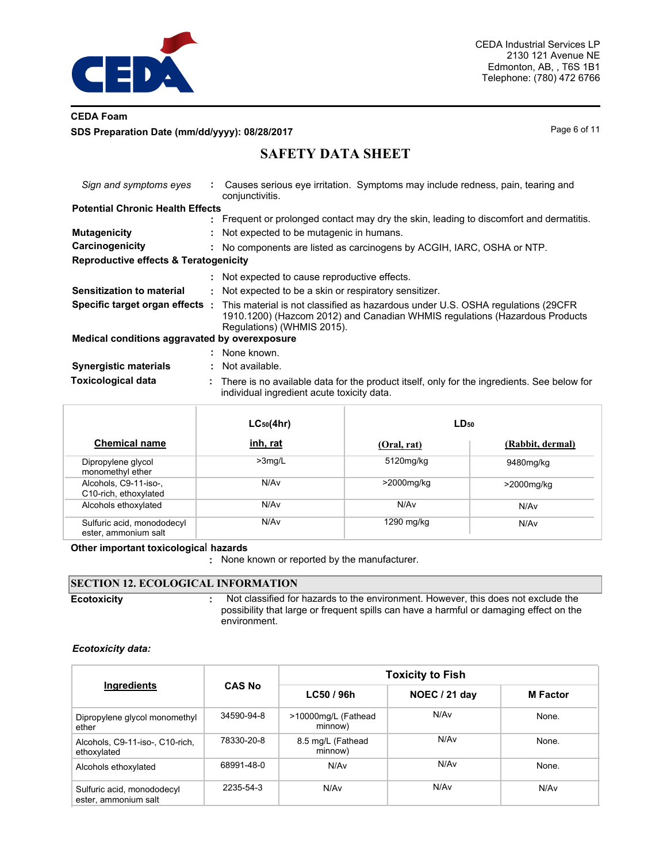

## **CEDA Foam SDS Preparation Date (mm/dd/yyyy): 08/28/2017** Page 6 of 11

# **SAFETY DATA SHEET**

| Sign and symptoms eyes                           | Causes serious eye irritation. Symptoms may include redness, pain, tearing and<br>conjunctivitis.                                                                                                                                   |
|--------------------------------------------------|-------------------------------------------------------------------------------------------------------------------------------------------------------------------------------------------------------------------------------------|
| <b>Potential Chronic Health Effects</b>          |                                                                                                                                                                                                                                     |
|                                                  | : Frequent or prolonged contact may dry the skin, leading to discomfort and dermatitis.                                                                                                                                             |
| <b>Mutagenicity</b>                              | : Not expected to be mutagenic in humans.                                                                                                                                                                                           |
| Carcinogenicity                                  | : No components are listed as carcinogens by ACGIH, IARC, OSHA or NTP.                                                                                                                                                              |
| <b>Reproductive effects &amp; Teratogenicity</b> |                                                                                                                                                                                                                                     |
|                                                  | : Not expected to cause reproductive effects.                                                                                                                                                                                       |
| <b>Sensitization to material</b>                 | : Not expected to be a skin or respiratory sensitizer.                                                                                                                                                                              |
|                                                  | <b>Specific target organ effects</b> : This material is not classified as hazardous under U.S. OSHA regulations (29CFR<br>1910.1200) (Hazcom 2012) and Canadian WHMIS regulations (Hazardous Products<br>Regulations) (WHMIS 2015). |
| Medical conditions aggravated by overexposure    |                                                                                                                                                                                                                                     |
|                                                  | : None known.                                                                                                                                                                                                                       |
| <b>Synergistic materials</b>                     | Not available.                                                                                                                                                                                                                      |
| <b>Toxicological data</b>                        | : There is no available data for the product itself, only for the ingredients. See below for<br>individual ingredient acute toxicity data.                                                                                          |

|                                                    | $LC_{50}(4hr)$   | $LD_{50}$   |                  |  |
|----------------------------------------------------|------------------|-------------|------------------|--|
| <b>Chemical name</b>                               | inh, rat         | (Oral, rat) | (Rabbit, dermal) |  |
| Dipropylene glycol<br>monomethyl ether             | $>3$ mg/L        | 5120mg/kg   | 9480mg/kg        |  |
| Alcohols, C9-11-iso-,<br>C10-rich, ethoxylated     | N/A <sub>v</sub> | >2000mg/kg  | $>$ 2000mg/kg    |  |
| Alcohols ethoxylated                               | N/A <sub>v</sub> | N/Av        | N/Av             |  |
| Sulfuric acid, monododecyl<br>ester, ammonium salt | N/A <sub>v</sub> | 1290 mg/kg  | N/Av             |  |

#### **Other important toxicologica**l **hazards**

**:** None known or reported by the manufacturer.

#### **SECTION 12. ECOLOGICAL INFORMATION** Not classified for hazards to the environment. However, this does not exclude the possibility that large or frequent spills can have a harmful or damaging effect on the environment. **Ecotoxicity :**

#### *Ecotoxicity data:*

| Ingredients                                        | <b>CAS No</b> | <b>Toxicity to Fish</b>        |                  |                 |  |  |  |
|----------------------------------------------------|---------------|--------------------------------|------------------|-----------------|--|--|--|
|                                                    |               | LC50 / 96h                     | NOEC / 21 day    | <b>M</b> Factor |  |  |  |
| Dipropylene glycol monomethyl<br>ether             | 34590-94-8    | >10000mg/L (Fathead<br>minnow) | N/Av             | None.           |  |  |  |
| Alcohols, C9-11-iso-, C10-rich,<br>ethoxylated     | 78330-20-8    | 8.5 mg/L (Fathead<br>minnow)   | N/A <sub>v</sub> | None.           |  |  |  |
| Alcohols ethoxylated                               | 68991-48-0    | N/A <sub>v</sub>               | N/A <sub>v</sub> | None.           |  |  |  |
| Sulfuric acid, monododecyl<br>ester, ammonium salt | 2235-54-3     | N/Av                           | N/Av             | N/Av            |  |  |  |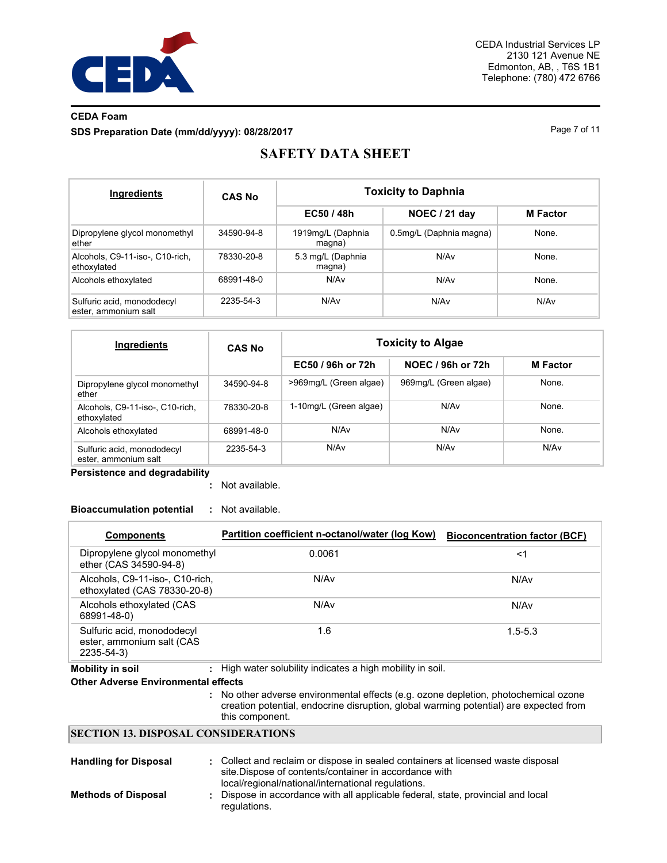

# **CEDA Foam SDS Preparation Date (mm/dd/yyyy): 08/28/2017** Page 7 of 11

# **SAFETY DATA SHEET**

| Ingredients                                        | <b>CAS No</b> | <b>Toxicity to Daphnia</b>  |                         |                 |  |  |  |
|----------------------------------------------------|---------------|-----------------------------|-------------------------|-----------------|--|--|--|
|                                                    |               | EC50 / 48h                  | NOEC / 21 day           | <b>M</b> Factor |  |  |  |
| Dipropylene glycol monomethyl<br>ether             | 34590-94-8    | 1919mg/L (Daphnia<br>magna) | 0.5mg/L (Daphnia magna) | None.           |  |  |  |
| Alcohols, C9-11-iso-, C10-rich,<br>ethoxylated     | 78330-20-8    | 5.3 mg/L (Daphnia<br>magna) | N/Av                    | None.           |  |  |  |
| Alcohols ethoxylated                               | 68991-48-0    | N/Av                        | N/Av                    | None.           |  |  |  |
| Sulfuric acid, monododecyl<br>ester, ammonium salt | 2235-54-3     | N/Av                        | N/Av                    | N/Av            |  |  |  |

| Ingredients                                        | <b>CAS No</b> | <b>Toxicity to Algae</b> |                       |                 |
|----------------------------------------------------|---------------|--------------------------|-----------------------|-----------------|
|                                                    |               | EC50 / 96h or 72h        | NOEC / 96h or 72h     | <b>M</b> Factor |
| Dipropylene glycol monomethyl<br>ether             | 34590-94-8    | >969mg/L (Green algae)   | 969mg/L (Green algae) | None.           |
| Alcohols, C9-11-iso-, C10-rich,<br>ethoxylated     | 78330-20-8    | 1-10mg/L (Green algae)   | N/Av                  | None.           |
| Alcohols ethoxylated                               | 68991-48-0    | N/Av                     | N/Av                  | None.           |
| Sulfuric acid, monododecyl<br>ester, ammonium salt | 2235-54-3     | N/Av                     | N/Av                  | N/Av            |

**Persistence and degradability**

Not available. **:**

### **Bioaccumulation potential :** Not available.

| <b>Components</b>                                                                   | Partition coefficient n-octanol/water (log Kow)            | <b>Bioconcentration factor (BCF)</b> |  |  |  |  |  |
|-------------------------------------------------------------------------------------|------------------------------------------------------------|--------------------------------------|--|--|--|--|--|
| Dipropylene glycol monomethyl<br>ether (CAS 34590-94-8)                             | 0.0061                                                     | $<$ 1                                |  |  |  |  |  |
| Alcohols, C9-11-iso-, C10-rich,<br>ethoxylated (CAS 78330-20-8)                     | N/Av                                                       | N/Av                                 |  |  |  |  |  |
| Alcohols ethoxylated (CAS<br>68991-48-0)                                            | N/Av                                                       | N/Av                                 |  |  |  |  |  |
| Sulfuric acid, monododecyl<br>ester, ammonium salt (CAS<br>2235-54-3)               | 1.6                                                        | $1.5 - 5.3$                          |  |  |  |  |  |
| <b>Mobility in soil</b>                                                             | : High water solubility indicates a high mobility in soil. |                                      |  |  |  |  |  |
| <b>Other Adverse Environmental effects</b>                                          |                                                            |                                      |  |  |  |  |  |
| : No other adverse environmental effects (e.g. ozone depletion, photochemical ozone |                                                            |                                      |  |  |  |  |  |

creation potential, endocrine disruption, global warming potential) are expected from this component.

## **SECTION 13. DISPOSAL CONSIDERATIONS**

| <b>Handling for Disposal</b> | : Collect and reclaim or dispose in sealed containers at licensed waste disposal<br>site. Dispose of contents/container in accordance with<br>local/regional/national/international regulations. |
|------------------------------|--------------------------------------------------------------------------------------------------------------------------------------------------------------------------------------------------|
| <b>Methods of Disposal</b>   | Dispose in accordance with all applicable federal, state, provincial and local<br>regulations.                                                                                                   |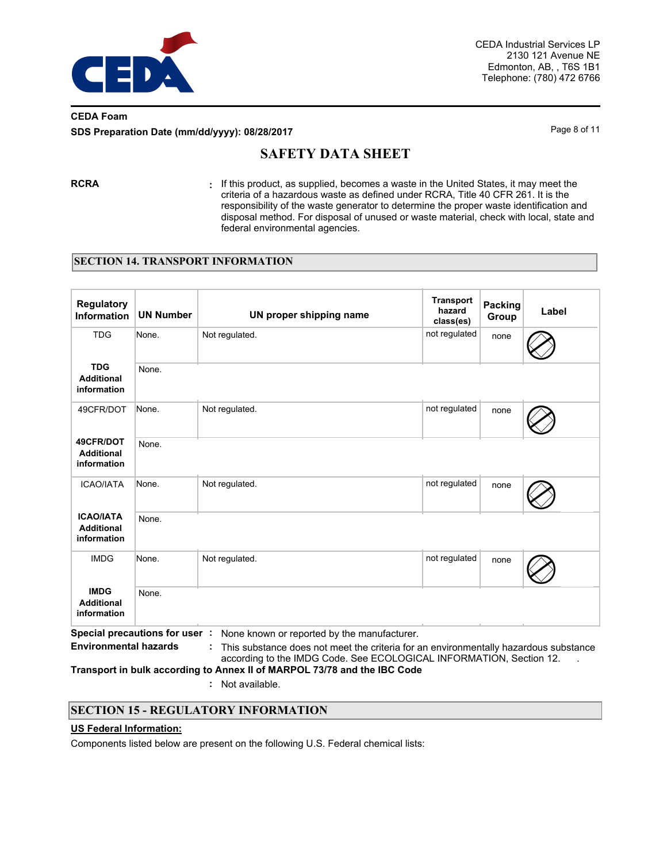

## **CEDA Foam SDS Preparation Date (mm/dd/yyyy): 08/28/2017** Page 8 of 11

# **SAFETY DATA SHEET**

**RCRA :** If this product, as supplied, becomes a waste in the United States, it may meet the criteria of a hazardous waste as defined under RCRA, Title 40 CFR 261. It is the responsibility of the waste generator to determine the proper waste identification and disposal method. For disposal of unused or waste material, check with local, state and federal environmental agencies.

### **SECTION 14. TRANSPORT INFORMATION**

| <b>Regulatory</b><br><b>Information</b>              | <b>UN Number</b>              | UN proper shipping name                                                                                                                                                                                    | <b>Transport</b><br>hazard<br>class(es) | <b>Packing</b><br>Group | Label |
|------------------------------------------------------|-------------------------------|------------------------------------------------------------------------------------------------------------------------------------------------------------------------------------------------------------|-----------------------------------------|-------------------------|-------|
| <b>TDG</b>                                           | None.                         | Not regulated.                                                                                                                                                                                             | not regulated                           | none                    |       |
| <b>TDG</b><br><b>Additional</b><br>information       | None.                         |                                                                                                                                                                                                            |                                         |                         |       |
| 49CFR/DOT                                            | None.                         | Not regulated.                                                                                                                                                                                             | not regulated                           | none                    |       |
| 49CFR/DOT<br><b>Additional</b><br>information        | None.                         |                                                                                                                                                                                                            |                                         |                         |       |
| <b>ICAO/IATA</b>                                     | None.                         | Not regulated.                                                                                                                                                                                             | not regulated                           | none                    |       |
| <b>ICAO/IATA</b><br><b>Additional</b><br>information | None.                         |                                                                                                                                                                                                            |                                         |                         |       |
| <b>IMDG</b>                                          | None.                         | Not regulated.                                                                                                                                                                                             | not regulated                           | none                    |       |
| <b>IMDG</b><br><b>Additional</b><br>information      | None.                         |                                                                                                                                                                                                            |                                         |                         |       |
| <b>Environmental hazards</b>                         | Special precautions for user: | None known or reported by the manufacturer.<br>This substance does not meet the criteria for an environmentally hazardous substance<br>according to the IMDG Code. See ECOLOGICAL INFORMATION, Section 12. |                                         |                         |       |

**Transport in bulk according to Annex II of MARPOL 73/78 and the IBC Code**

**:** Not available.

## **SECTION 15 - REGULATORY INFORMATION**

#### **US Federal Information:**

Components listed below are present on the following U.S. Federal chemical lists: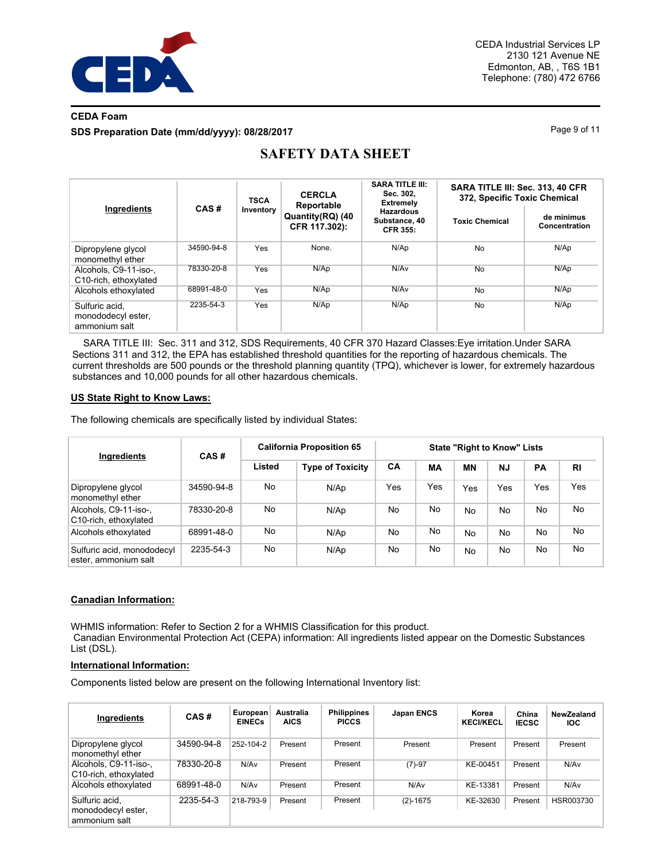

## **CEDA Foam SDS Preparation Date (mm/dd/yyyy): 08/28/2017** Page 9 of 11

|                                                       |            | <b>TSCA</b> | <b>CERCLA</b>                                   | <b>SARA TITLE III:</b><br>Sec. 302,                                      | SARA TITLE III: Sec. 313, 40 CFR<br>372, Specific Toxic Chemical |                             |  |
|-------------------------------------------------------|------------|-------------|-------------------------------------------------|--------------------------------------------------------------------------|------------------------------------------------------------------|-----------------------------|--|
| Ingredients                                           | CAS#       | Inventory   | Reportable<br>Quantity(RQ) (40<br>CFR 117.302): | <b>Extremely</b><br><b>Hazardous</b><br>Substance, 40<br><b>CFR 355:</b> | <b>Toxic Chemical</b>                                            | de minimus<br>Concentration |  |
| Dipropylene glycol<br>monomethyl ether                | 34590-94-8 | Yes         | None.                                           | N/Ap                                                                     | No                                                               | N/Ap                        |  |
| Alcohols, C9-11-iso-.<br>C10-rich, ethoxylated        | 78330-20-8 | Yes         | N/Ap                                            | N/Av                                                                     | No                                                               | N/Ap                        |  |
| Alcohols ethoxylated                                  | 68991-48-0 | Yes         | N/Ap                                            | N/Av                                                                     | No                                                               | N/Ap                        |  |
| Sulfuric acid.<br>monododecyl ester.<br>ammonium salt | 2235-54-3  | Yes         | N/Ap                                            | N/Ap                                                                     | No                                                               | N/Ap                        |  |

# **SAFETY DATA SHEET**

 SARA TITLE III: Sec. 311 and 312, SDS Requirements, 40 CFR 370 Hazard Classes:Eye irritation.Under SARA Sections 311 and 312, the EPA has established threshold quantities for the reporting of hazardous chemicals. The current thresholds are 500 pounds or the threshold planning quantity (TPQ), whichever is lower, for extremely hazardous substances and 10,000 pounds for all other hazardous chemicals.

#### **US State Right to Know Laws:**

The following chemicals are specifically listed by individual States:

| Ingredients                                        | CAS#       | <b>California Proposition 65</b> |                         | <b>State "Right to Know" Lists</b> |     |           |           |     |           |
|----------------------------------------------------|------------|----------------------------------|-------------------------|------------------------------------|-----|-----------|-----------|-----|-----------|
|                                                    |            | Listed                           | <b>Type of Toxicity</b> | CA                                 | МA  | ΜN        | <b>NJ</b> | PA  | <b>RI</b> |
| Dipropylene glycol<br>monomethyl ether             | 34590-94-8 | No                               | N/Ap                    | Yes                                | Yes | Yes       | Yes       | Yes | Yes       |
| Alcohols, C9-11-iso-,<br>C10-rich, ethoxylated     | 78330-20-8 | No                               | N/Ap                    | No                                 | No  | <b>No</b> | No        | No  | No        |
| Alcohols ethoxylated                               | 68991-48-0 | No                               | N/Ap                    | No                                 | No  | No        | No        | No  | No        |
| Sulfuric acid, monododecyl<br>ester, ammonium salt | 2235-54-3  | No                               | N/Ap                    | <b>No</b>                          | No  | <b>No</b> | No        | No  | <b>No</b> |

### **Canadian Information:**

WHMIS information: Refer to Section 2 for a WHMIS Classification for this product. Canadian Environmental Protection Act (CEPA) information: All ingredients listed appear on the Domestic Substances List (DSL).

### **International Information:**

Components listed below are present on the following International Inventory list:

| Ingredients                                           | CAS#       | European<br><b>EINECs</b> | Australia<br><b>AICS</b> | Philippines<br><b>PICCS</b> | <b>Japan ENCS</b> | Korea<br><b>KECI/KECL</b> | China<br><b>IECSC</b> | NewZealand<br><b>IOC</b> |
|-------------------------------------------------------|------------|---------------------------|--------------------------|-----------------------------|-------------------|---------------------------|-----------------------|--------------------------|
| Dipropylene glycol<br>monomethyl ether                | 34590-94-8 | 252-104-2                 | Present                  | Present                     | Present           | Present                   | Present               | Present                  |
| Alcohols, C9-11-iso-,<br>C10-rich, ethoxylated        | 78330-20-8 | N/Av                      | Present                  | Present                     | $(7)-97$          | KE-00451                  | Present               | N/Av                     |
| Alcohols ethoxylated                                  | 68991-48-0 | N/Av                      | Present                  | Present                     | N/A <sub>v</sub>  | KE-13381                  | Present               | N/Av                     |
| Sulfuric acid,<br>monododecyl ester,<br>ammonium salt | 2235-54-3  | 218-793-9                 | Present                  | Present                     | $(2)-1675$        | KE-32630                  | Present               | HSR003730                |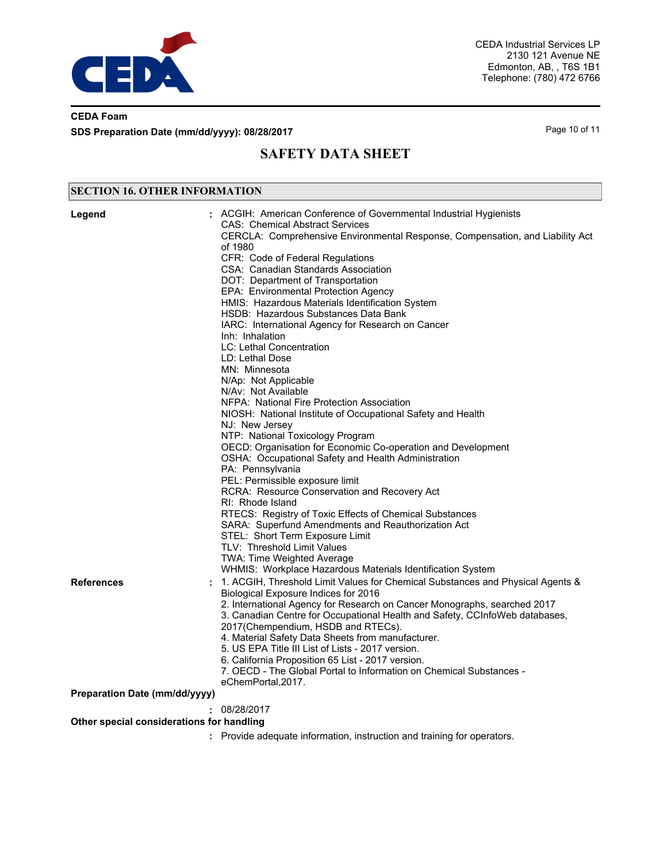

## **CEDA Foam SDS Preparation Date (mm/dd/yyyy): 08/28/2017** Page 10 of 11

# **SAFETY DATA SHEET**

#### ACGIH: American Conference of Governmental Industrial Hygienists CAS: Chemical Abstract Services CERCLA: Comprehensive Environmental Response, Compensation, and Liability Act of 1980 CFR: Code of Federal Regulations CSA: Canadian Standards Association DOT: Department of Transportation EPA: Environmental Protection Agency HMIS: Hazardous Materials Identification System HSDB: Hazardous Substances Data Bank IARC: International Agency for Research on Cancer Inh: Inhalation LC: Lethal Concentration LD: Lethal Dose MN: Minnesota N/Ap: Not Applicable N/Av: Not Available NFPA: National Fire Protection Association NIOSH: National Institute of Occupational Safety and Health NJ: New Jersey NTP: National Toxicology Program OECD: Organisation for Economic Co-operation and Development OSHA: Occupational Safety and Health Administration PA: Pennsylvania PEL: Permissible exposure limit RCRA: Resource Conservation and Recovery Act RI: Rhode Island RTECS: Registry of Toxic Effects of Chemical Substances SARA: Superfund Amendments and Reauthorization Act STEL: Short Term Exposure Limit TLV: Threshold Limit Values TWA: Time Weighted Average WHMIS: Workplace Hazardous Materials Identification System **Legend : SECTION 16. OTHER INFORMATION** 1. ACGIH, Threshold Limit Values for Chemical Substances and Physical Agents & Biological Exposure Indices for 2016 2. International Agency for Research on Cancer Monographs, searched 2017 3. Canadian Centre for Occupational Health and Safety, CCInfoWeb databases, 2017(Chempendium, HSDB and RTECs). 4. Material Safety Data Sheets from manufacturer. 5. US EPA Title III List of Lists - 2017 version. 6. California Proposition 65 List - 2017 version. 7. OECD - The Global Portal to Information on Chemical Substances eChemPortal,2017. **References : Preparation Date (mm/dd/yyyy) :** 08/28/2017 **Other special considerations for handling :** Provide adequate information, instruction and training for operators.